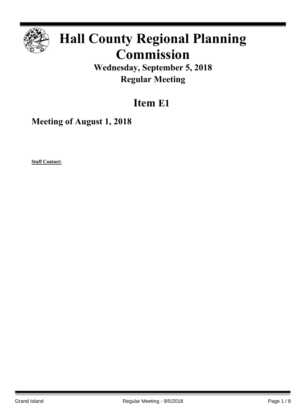

# **Hall County Regional Planning Commission**

**Wednesday, September 5, 2018 Regular Meeting**

## **Item E1**

**Meeting of August 1, 2018**

**Staff Contact:**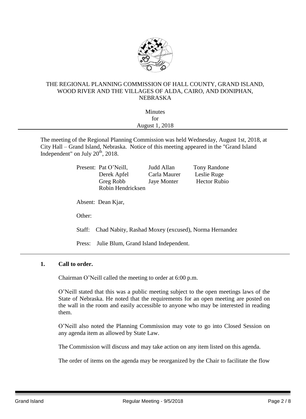

#### THE REGIONAL PLANNING COMMISSION OF HALL COUNTY, GRAND ISLAND, WOOD RIVER AND THE VILLAGES OF ALDA, CAIRO, AND DONIPHAN, NEBRASKA

| <b>Minutes</b>        |  |
|-----------------------|--|
| for                   |  |
| <b>August 1, 2018</b> |  |
|                       |  |

The meeting of the Regional Planning Commission was held Wednesday, August 1st, 2018, at City Hall – Grand Island, Nebraska. Notice of this meeting appeared in the "Grand Island Independent" on July  $20<sup>th</sup>$ , 2018.

|                                                                |        | Present: Pat O'Neill,                 | Judd Allan   | <b>Tony Randone</b> |
|----------------------------------------------------------------|--------|---------------------------------------|--------------|---------------------|
|                                                                |        | Derek Apfel                           | Carla Maurer | Leslie Ruge         |
|                                                                |        | Greg Robb                             | Jaye Monter  | <b>Hector Rubio</b> |
|                                                                |        | Robin Hendricksen                     |              |                     |
|                                                                |        | Absent: Dean Kjar,                    |              |                     |
|                                                                | Other: |                                       |              |                     |
| Chad Nabity, Rashad Moxey (excused), Norma Hernandez<br>Staff: |        |                                       |              |                     |
|                                                                | Press: | Julie Blum, Grand Island Independent. |              |                     |

#### **1. Call to order.**

Chairman O'Neill called the meeting to order at 6:00 p.m.

O'Neill stated that this was a public meeting subject to the open meetings laws of the State of Nebraska. He noted that the requirements for an open meeting are posted on the wall in the room and easily accessible to anyone who may be interested in reading them.

O'Neill also noted the Planning Commission may vote to go into Closed Session on any agenda item as allowed by State Law.

The Commission will discuss and may take action on any item listed on this agenda.

The order of items on the agenda may be reorganized by the Chair to facilitate the flow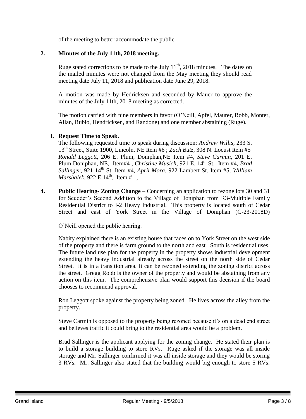of the meeting to better accommodate the public.

#### **2. Minutes of the July 11th, 2018 meeting.**

Ruge stated corrections to be made to the July  $11<sup>th</sup>$ , 2018 minutes. The dates on the mailed minutes were not changed from the May meeting they should read meeting date July 11, 2018 and publication date June 29, 2018.

A motion was made by Hedricksen and seconded by Mauer to approve the minutes of the July 11th, 2018 meeting as corrected.

The motion carried with nine members in favor (O'Neill, Apfel, Maurer, Robb, Monter, Allan, Rubio, Hendricksen, and Randone) and one member abstaining (Ruge).

#### **3. Request Time to Speak.**

The following requested time to speak during discussion: *Andrew Willis*, 233 S. 13th Street, Suite 1900, Lincoln, NE Item #6 ; *Zach Butz*, 308 N. Locust Item #5 *Ronald Leggott*, 206 E. Plum, Doniphan,NE Item #4, *Steve Carmin*, 201 E. Plum Doniphan, NE, Item#4, *Christine Musich*, 921 E. 14<sup>th</sup> St. Item #4, *Brad Sallinger*, 921 14th St. Item #4, *April Mora,* 922 Lambert St. Item #5, *William*   $Marshalek$ , 922 E 14<sup>th</sup>, Item #,

**4. Public Hearing- Zoning Change** – Concerning an application to rezone lots 30 and 31 for Scudder's Second Addition to the Village of Doniphan from R3-Multiple Family Residential District to I-2 Heavy Industrial. This property is located south of Cedar Street and east of York Street in the Village of Doniphan (C-23-2018D)

O'Neill opened the public hearing.

Nabity explained there is an existing house that faces on to York Street on the west side of the property and there is farm ground to the north and east. South is residential uses. The future land use plan for the property in the property shows industrial development extending the heavy industrial already across the street on the north side of Cedar Street. It is in a transition area. It can be rezoned extending the zoning district across the street. Gregg Robb is the owner of the property and would be abstaining from any action on this item. The comprehensive plan would support this decision if the board chooses to recommend approval.

Ron Leggott spoke against the property being zoned. He lives across the alley from the property.

Steve Carmin is opposed to the property being rezoned because it's on a dead end street and believes traffic it could bring to the residential area would be a problem.

Brad Sallinger is the applicant applying for the zoning change. He stated their plan is to build a storage building to store RVs. Ruge asked if the storage was all inside storage and Mr. Sallinger confirmed it was all inside storage and they would be storing 3 RVs. Mr. Sallinger also stated that the building would big enough to store 5 RVs.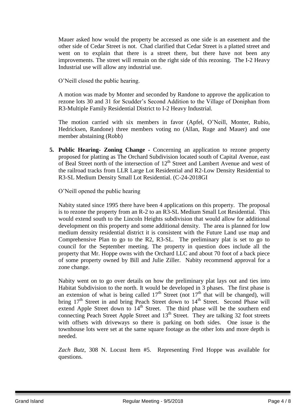Mauer asked how would the property be accessed as one side is an easement and the other side of Cedar Street is not. Chad clarified that Cedar Street is a platted street and went on to explain that there is a street there, but there have not been any improvements. The street will remain on the right side of this rezoning. The I-2 Heavy Industrial use will allow any industrial use.

O'Neill closed the public hearing.

A motion was made by Monter and seconded by Randone to approve the application to rezone lots 30 and 31 for Scudder's Second Addition to the Village of Doniphan from R3-Multiple Family Residential District to I-2 Heavy Industrial.

The motion carried with six members in favor (Apfel, O'Neill, Monter, Rubio, Hedricksen, Randone) three members voting no (Allan, Ruge and Mauer) and one member abstaining (Robb)

**5. Public Hearing- Zoning Change -** Concerning an application to rezone property proposed for platting as The Orchard Subdivision located south of Capital Avenue, east of Beal Street north of the intersection of 12<sup>th</sup> Street and Lambert Avenue and west of the railroad tracks from LLR Large Lot Residential and R2-Low Density Residential to R3-SL Medium Density Small Lot Residential. (C-24-2018GI

O'Neill opened the public hearing

Nabity stated since 1995 there have been 4 applications on this property. The proposal is to rezone the property from an R-2 to an R3-SL Medium Small Lot Residential. This would extend south to the Lincoln Heights subdivision that would allow for additional development on this property and some additional density. The area is planned for low medium density residential district it is consistent with the Future Land use map and Comprehensive Plan to go to the R2, R3-SL. The preliminary plat is set to go to council for the September meeting. The property in question does include all the property that Mr. Hoppe owns with the Orchard LLC and about 70 foot of a back piece of some property owned by Bill and Julie Ziller. Nabity recommend approval for a zone change.

Nabity went on to go over details on how the preliminary plat lays out and ties into Habitat Subdivision to the north. It would be developed in 3 phases. The first phase is an extension of what is being called  $17<sup>th</sup>$  Street (not  $17<sup>th</sup>$  that will be changed), will bring  $17<sup>th</sup>$  Street in and bring Peach Street down to  $14<sup>th</sup>$  Street. Second Phase will extend Apple Street down to  $14<sup>th</sup>$  Street. The third phase will be the southern end connecting Peach Street Apple Street and 13<sup>th</sup> Street. They are talking 32 foot streets with offsets with driveways so there is parking on both sides. One issue is the townhouse lots were set at the same square footage as the other lots and more depth is needed.

*Zach Butz*, 308 N. Locust Item #5. Representing Fred Hoppe was available for questions.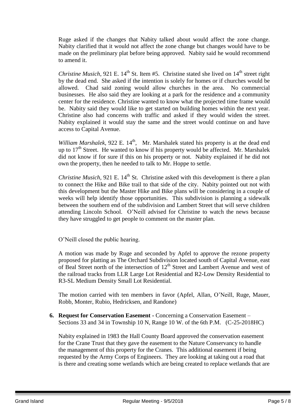Ruge asked if the changes that Nabity talked about would affect the zone change. Nabity clarified that it would not affect the zone change but changes would have to be made on the preliminary plat before being approved. Nabity said he would recommend to amend it.

*Christine Musich*, 921 E. 14<sup>th</sup> St. Item #5. Christine stated she lived on 14<sup>th</sup> street right by the dead end. She asked if the intention is solely for homes or if churches would be allowed. Chad said zoning would allow churches in the area. No commercial businesses. He also said they are looking at a park for the residence and a community center for the residence. Christine wanted to know what the projected time frame would be. Nabity said they would like to get started on building homes within the next year. Christine also had concerns with traffic and asked if they would widen the street. Nabity explained it would stay the same and the street would continue on and have access to Capital Avenue.

*William Marshalek,* 922 E. 14<sup>th</sup>, Mr. Marshalek stated his property is at the dead end up to  $17<sup>th</sup>$  Street. He wanted to know if his property would be affected. Mr. Marshalek did not know if for sure if this on his property or not. Nabity explained if he did not own the property, then he needed to talk to Mr. Hoppe to settle.

*Christine Musich,* 921 E. 14<sup>th</sup> St. Christine asked with this development is there a plan to connect the Hike and Bike trail to that side of the city. Nabity pointed out not with this development but the Master Hike and Bike plans will be considering in a couple of weeks will help identify those opportunities. This subdivision is planning a sidewalk between the southern end of the subdivision and Lambert Street that will serve children attending Lincoln School. O'Neill advised for Christine to watch the news because they have struggled to get people to comment on the master plan.

O'Neill closed the public hearing.

A motion was made by Ruge and seconded by Apfel to approve the rezone property proposed for platting as The Orchard Subdivision located south of Capital Avenue, east of Beal Street north of the intersection of  $12<sup>th</sup>$  Street and Lambert Avenue and west of the railroad tracks from LLR Large Lot Residential and R2-Low Density Residential to R3-SL Medium Density Small Lot Residential.

The motion carried with ten members in favor (Apfel, Allan, O'Neill, Ruge, Mauer, Robb, Monter, Rubio, Hedricksen, and Randone)

**6. Request for Conservation Easement -** Concerning a Conservation Easement – Sections 33 and 34 in Township 10 N, Range 10 W. of the 6th P.M. (C-25-2018HC)

Nabity explained in 1983 the Hall County Board approved the conservation easement for the Crane Trust that they gave the easement to the Nature Conservancy to handle the management of this property for the Cranes. This additional easement if being requested by the Army Corps of Engineers. They are looking at taking out a road that is there and creating some wetlands which are being created to replace wetlands that are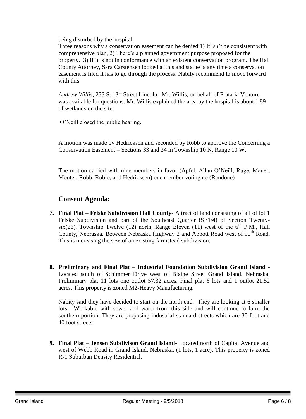being disturbed by the hospital.

Three reasons why a conservation easement can be denied 1) It isn't be consistent with comprehensive plan, 2) There's a planned government purpose proposed for the property. 3) If it is not in conformance with an existent conservation program. The Hall County Attorney, Sara Carstensen looked at this and statue is any time a conservation easement is filed it has to go through the process. Nabity recommend to move forward with this.

*Andrew Willis,* 233 S. 13th Street Lincoln. Mr. Willis, on behalf of Prataria Venture was available for questions. Mr. Willis explained the area by the hospital is about 1.89 of wetlands on the site.

O'Neill closed the public hearing.

A motion was made by Hedricksen and seconded by Robb to approve the Concerning a Conservation Easement – Sections 33 and 34 in Township 10 N, Range 10 W.

The motion carried with nine members in favor (Apfel, Allan O'Neill, Ruge, Mauer, Monter, Robb, Rubio, and Hedricksen) one member voting no (Randone)

### **Consent Agenda:**

- **7. Final Plat – Felske Subdivision Hall County-** A tract of land consisting of all of lot 1 Felske Subdivision and part of the Southeast Quarter (SE1/4) of Section Twentysix(26), Township Twelve (12) north, Range Eleven (11) west of the  $6<sup>th</sup>$  P.M., Hall County, Nebraska. Between Nebraska Highway 2 and Abbott Road west of 90<sup>th</sup> Road. This is increasing the size of an existing farmstead subdivision.
- **8. Preliminary and Final Plat – Industrial Foundation Subdivision Grand Island -** Located south of Schimmer Drive west of Blaine Street Grand Island, Nebraska. Preliminary plat 11 lots one outlot 57.32 acres. Final plat 6 lots and 1 outlot 21.52 acres. This property is zoned M2-Heavy Manufacturing.

Nabity said they have decided to start on the north end. They are looking at 6 smaller lots. Workable with sewer and water from this side and will continue to farm the southern portion. They are proposing industrial standard streets which are 30 foot and 40 foot streets.

**9. Final Plat – Jensen Subdivison Grand Island-** Located north of Capital Avenue and west of Webb Road in Grand Island, Nebraska. (1 lots, 1 acre). This property is zoned R-1 Suburban Density Residential.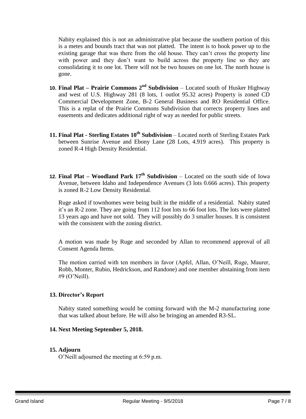Nabity explained this is not an administrative plat because the southern portion of this is a metes and bounds tract that was not platted. The intent is to hook power up to the existing garage that was there from the old house. They can't cross the property line with power and they don't want to build across the property line so they are consolidating it to one lot. There will not be two houses on one lot. The north house is gone.

- **10. Final Plat – Prairie Commons 2nd Subdivision** Located south of Husker Highway and west of U.S. Highway 281 (8 lots, 1 outlot 95.32 acres) Property is zoned CD Commercial Development Zone, B-2 General Business and RO Residential Office. This is a replat of the Prairie Commons Subdivision that corrects property lines and easements and dedicates additional right of way as needed for public streets.
- **11. Final Plat - Sterling Estates 10th Subdivision** Located north of Sterling Estates Park between Sunrise Avenue and Ebony Lane (28 Lots, 4.919 acres). This property is zoned R-4 High Density Residential.
- **12. Final Plat – Woodland Park 17th Subdivision** Located on the south side of Iowa Avenue, between Idaho and Independence Avenues (3 lots 0.666 acres). This property is zoned R-2 Low Density Residential.

Ruge asked if townhomes were being built in the middle of a residential. Nabity stated it's an R-2 zone. They are going from 112 foot lots to 66 foot lots. The lots were platted 13 years ago and have not sold. They will possibly do 3 smaller houses. It is consistent with the consistent with the zoning district.

A motion was made by Ruge and seconded by Allan to recommend approval of all Consent Agenda Items.

The motion carried with ten members in favor (Apfel, Allan, O'Neill, Ruge, Maurer, Robb, Monter, Rubio, Hedrickson, and Randone) and one member abstaining from item #9 (O'Neill).

#### **13. Director's Report**

Nabity stated something would be coming forward with the M-2 manufacturing zone that was talked about before. He will also be bringing an amended R3-SL.

#### **14. Next Meeting September 5, 2018.**

#### **15. Adjourn**

O'Neill adjourned the meeting at 6:59 p.m.